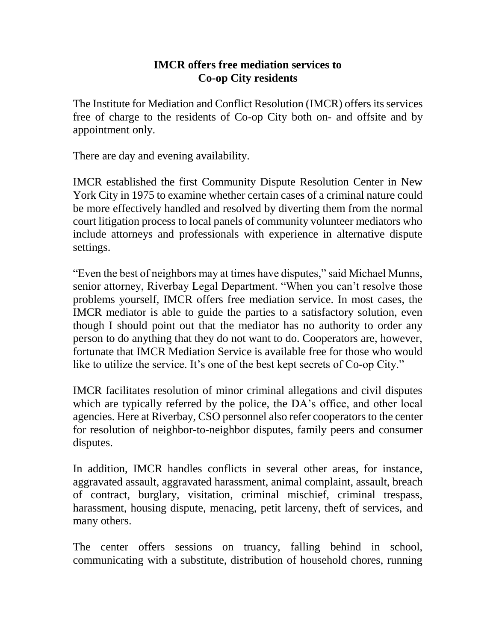## **IMCR offers free mediation services to Co-op City residents**

The Institute for Mediation and Conflict Resolution (IMCR) offers its services free of charge to the residents of Co-op City both on- and offsite and by appointment only.

There are day and evening availability.

IMCR established the first Community Dispute Resolution Center in New York City in 1975 to examine whether certain cases of a criminal nature could be more effectively handled and resolved by diverting them from the normal court litigation process to local panels of community volunteer mediators who include attorneys and professionals with experience in alternative dispute settings.

"Even the best of neighbors may at times have disputes," said Michael Munns, senior attorney, Riverbay Legal Department. "When you can't resolve those problems yourself, IMCR offers free mediation service. In most cases, the IMCR mediator is able to guide the parties to a satisfactory solution, even though I should point out that the mediator has no authority to order any person to do anything that they do not want to do. Cooperators are, however, fortunate that IMCR Mediation Service is available free for those who would like to utilize the service. It's one of the best kept secrets of Co-op City."

IMCR facilitates resolution of minor criminal allegations and civil disputes which are typically referred by the police, the DA's office, and other local agencies. Here at Riverbay, CSO personnel also refer cooperators to the center for resolution of neighbor-to-neighbor disputes, family peers and consumer disputes.

In addition, IMCR handles conflicts in several other areas, for instance, aggravated assault, aggravated harassment, animal complaint, assault, breach of contract, burglary, visitation, criminal mischief, criminal trespass, harassment, housing dispute, menacing, petit larceny, theft of services, and many others.

The center offers sessions on truancy, falling behind in school, communicating with a substitute, distribution of household chores, running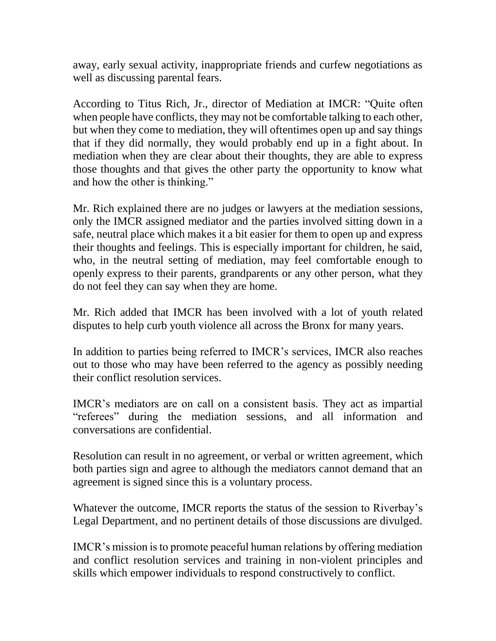away, early sexual activity, inappropriate friends and curfew negotiations as well as discussing parental fears.

According to Titus Rich, Jr., director of Mediation at IMCR: "Quite often when people have conflicts, they may not be comfortable talking to each other, but when they come to mediation, they will oftentimes open up and say things that if they did normally, they would probably end up in a fight about. In mediation when they are clear about their thoughts, they are able to express those thoughts and that gives the other party the opportunity to know what and how the other is thinking."

Mr. Rich explained there are no judges or lawyers at the mediation sessions, only the IMCR assigned mediator and the parties involved sitting down in a safe, neutral place which makes it a bit easier for them to open up and express their thoughts and feelings. This is especially important for children, he said, who, in the neutral setting of mediation, may feel comfortable enough to openly express to their parents, grandparents or any other person, what they do not feel they can say when they are home.

Mr. Rich added that IMCR has been involved with a lot of youth related disputes to help curb youth violence all across the Bronx for many years.

In addition to parties being referred to IMCR's services, IMCR also reaches out to those who may have been referred to the agency as possibly needing their conflict resolution services.

IMCR's mediators are on call on a consistent basis. They act as impartial "referees" during the mediation sessions, and all information and conversations are confidential.

Resolution can result in no agreement, or verbal or written agreement, which both parties sign and agree to although the mediators cannot demand that an agreement is signed since this is a voluntary process.

Whatever the outcome, IMCR reports the status of the session to Riverbay's Legal Department, and no pertinent details of those discussions are divulged.

IMCR's mission is to promote peaceful human relations by offering mediation and conflict resolution services and training in non-violent principles and skills which empower individuals to respond constructively to conflict.